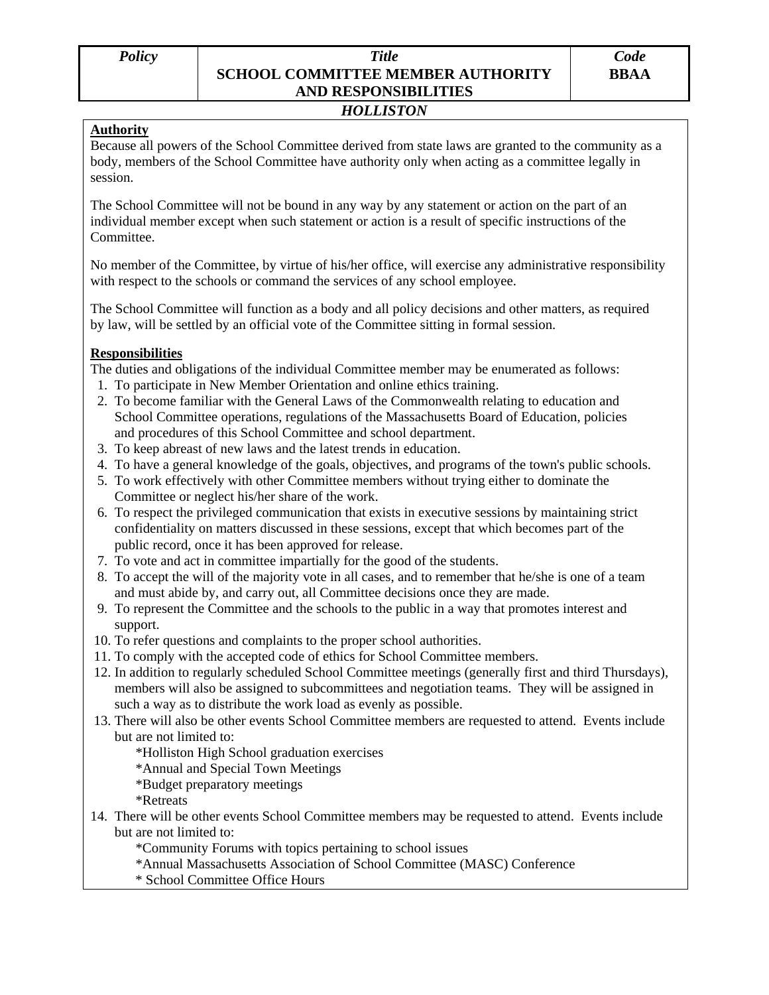## *Policy Title*  **SCHOOL COMMITTEE MEMBER AUTHORITY AND RESPONSIBILITIES**

## *HOLLISTON*

## **Authority**

Because all powers of the School Committee derived from state laws are granted to the community as a body, members of the School Committee have authority only when acting as a committee legally in session.

The School Committee will not be bound in any way by any statement or action on the part of an individual member except when such statement or action is a result of specific instructions of the Committee.

No member of the Committee, by virtue of his/her office, will exercise any administrative responsibility with respect to the schools or command the services of any school employee.

The School Committee will function as a body and all policy decisions and other matters, as required by law, will be settled by an official vote of the Committee sitting in formal session.

## **Responsibilities**

The duties and obligations of the individual Committee member may be enumerated as follows:

- 1. To participate in New Member Orientation and online ethics training.
- 2. To become familiar with the General Laws of the Commonwealth relating to education and School Committee operations, regulations of the Massachusetts Board of Education, policies and procedures of this School Committee and school department.
- 3. To keep abreast of new laws and the latest trends in education.
- 4. To have a general knowledge of the goals, objectives, and programs of the town's public schools.
- 5. To work effectively with other Committee members without trying either to dominate the Committee or neglect his/her share of the work.
- 6. To respect the privileged communication that exists in executive sessions by maintaining strict confidentiality on matters discussed in these sessions, except that which becomes part of the public record, once it has been approved for release.
- 7. To vote and act in committee impartially for the good of the students.
- 8. To accept the will of the majority vote in all cases, and to remember that he/she is one of a team and must abide by, and carry out, all Committee decisions once they are made.
- 9. To represent the Committee and the schools to the public in a way that promotes interest and support.
- 10. To refer questions and complaints to the proper school authorities.
- 11. To comply with the accepted code of ethics for School Committee members.
- 12. In addition to regularly scheduled School Committee meetings (generally first and third Thursdays), members will also be assigned to subcommittees and negotiation teams. They will be assigned in such a way as to distribute the work load as evenly as possible.
- 13. There will also be other events School Committee members are requested to attend. Events include but are not limited to:
	- \*Holliston High School graduation exercises
	- \*Annual and Special Town Meetings
	- \*Budget preparatory meetings
	- \*Retreats
- 14. There will be other events School Committee members may be requested to attend. Events include but are not limited to:

\*Community Forums with topics pertaining to school issues

- \*Annual Massachusetts Association of School Committee (MASC) Conference
- \* School Committee Office Hours